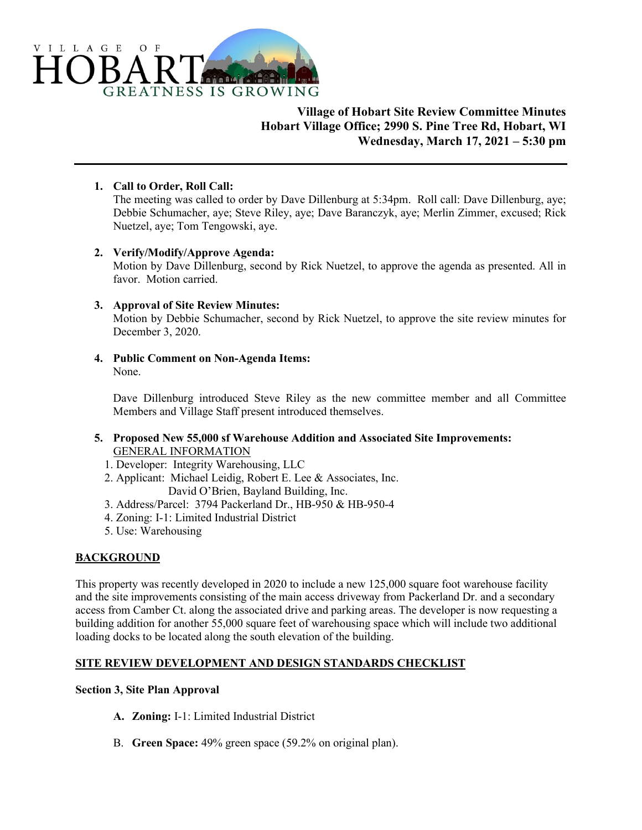

# **Village of Hobart Site Review Committee Minutes Hobart Village Office; 2990 S. Pine Tree Rd, Hobart, WI Wednesday, March 17, 2021 – 5:30 pm**

# **1. Call to Order, Roll Call:**

The meeting was called to order by Dave Dillenburg at 5:34pm. Roll call: Dave Dillenburg, aye; Debbie Schumacher, aye; Steve Riley, aye; Dave Baranczyk, aye; Merlin Zimmer, excused; Rick Nuetzel, aye; Tom Tengowski, aye.

# **2. Verify/Modify/Approve Agenda:**

Motion by Dave Dillenburg, second by Rick Nuetzel, to approve the agenda as presented. All in favor. Motion carried.

# **3. Approval of Site Review Minutes:**

Motion by Debbie Schumacher, second by Rick Nuetzel, to approve the site review minutes for December 3, 2020.

**4. Public Comment on Non-Agenda Items:** None.

Dave Dillenburg introduced Steve Riley as the new committee member and all Committee Members and Village Staff present introduced themselves.

# **5. Proposed New 55,000 sf Warehouse Addition and Associated Site Improvements:** GENERAL INFORMATION

- 1. Developer: Integrity Warehousing, LLC
- 2. Applicant: Michael Leidig, Robert E. Lee & Associates, Inc. David O'Brien, Bayland Building, Inc.
- 3. Address/Parcel: 3794 Packerland Dr., HB-950 & HB-950-4
- 4. Zoning: I-1: Limited Industrial District
- 5. Use: Warehousing

# **BACKGROUND**

This property was recently developed in 2020 to include a new 125,000 square foot warehouse facility and the site improvements consisting of the main access driveway from Packerland Dr. and a secondary access from Camber Ct. along the associated drive and parking areas. The developer is now requesting a building addition for another 55,000 square feet of warehousing space which will include two additional loading docks to be located along the south elevation of the building.

# **SITE REVIEW DEVELOPMENT AND DESIGN STANDARDS CHECKLIST**

# **Section 3, Site Plan Approval**

- **A. Zoning:** I-1: Limited Industrial District
- B. **Green Space:** 49% green space (59.2% on original plan).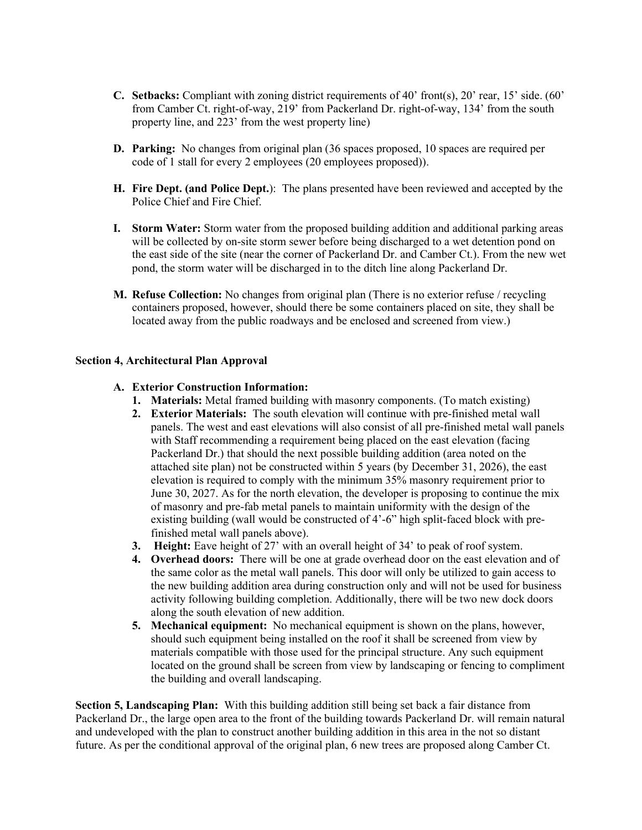- **C. Setbacks:** Compliant with zoning district requirements of 40' front(s), 20' rear, 15' side. (60' from Camber Ct. right-of-way, 219' from Packerland Dr. right-of-way, 134' from the south property line, and 223' from the west property line)
- **D.** Parking: No changes from original plan (36 spaces proposed, 10 spaces are required per code of 1 stall for every 2 employees (20 employees proposed)).
- **H. Fire Dept. (and Police Dept.**): The plans presented have been reviewed and accepted by the Police Chief and Fire Chief.
- **I. Storm Water:** Storm water from the proposed building addition and additional parking areas will be collected by on-site storm sewer before being discharged to a wet detention pond on the east side of the site (near the corner of Packerland Dr. and Camber Ct.). From the new wet pond, the storm water will be discharged in to the ditch line along Packerland Dr.
- **M. Refuse Collection:** No changes from original plan (There is no exterior refuse / recycling containers proposed, however, should there be some containers placed on site, they shall be located away from the public roadways and be enclosed and screened from view.)

### **Section 4, Architectural Plan Approval**

### **A. Exterior Construction Information:**

- **1. Materials:** Metal framed building with masonry components. (To match existing)
- **2. Exterior Materials:** The south elevation will continue with pre-finished metal wall panels. The west and east elevations will also consist of all pre-finished metal wall panels with Staff recommending a requirement being placed on the east elevation (facing Packerland Dr.) that should the next possible building addition (area noted on the attached site plan) not be constructed within 5 years (by December 31, 2026), the east elevation is required to comply with the minimum 35% masonry requirement prior to June 30, 2027. As for the north elevation, the developer is proposing to continue the mix of masonry and pre-fab metal panels to maintain uniformity with the design of the existing building (wall would be constructed of 4'-6" high split-faced block with prefinished metal wall panels above).
- **3. Height:** Eave height of 27' with an overall height of 34' to peak of roof system.
- **4. Overhead doors:** There will be one at grade overhead door on the east elevation and of the same color as the metal wall panels. This door will only be utilized to gain access to the new building addition area during construction only and will not be used for business activity following building completion. Additionally, there will be two new dock doors along the south elevation of new addition.
- **5. Mechanical equipment:** No mechanical equipment is shown on the plans, however, should such equipment being installed on the roof it shall be screened from view by materials compatible with those used for the principal structure. Any such equipment located on the ground shall be screen from view by landscaping or fencing to compliment the building and overall landscaping.

**Section 5, Landscaping Plan:** With this building addition still being set back a fair distance from Packerland Dr., the large open area to the front of the building towards Packerland Dr. will remain natural and undeveloped with the plan to construct another building addition in this area in the not so distant future. As per the conditional approval of the original plan, 6 new trees are proposed along Camber Ct.